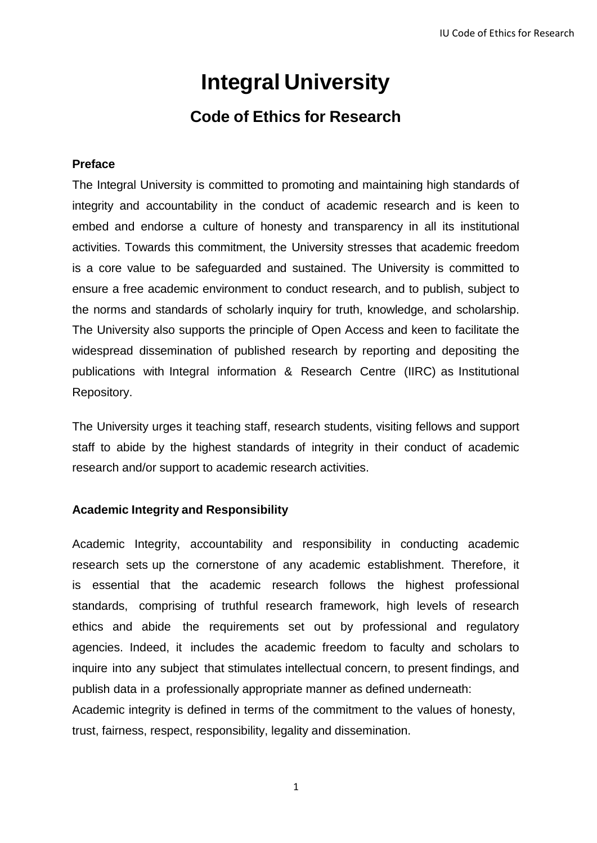# **Integral University**

## **Code of Ethics for Research**

#### **Preface**

The Integral University is committed to promoting and maintaining high standards of integrity and accountability in the conduct of academic research and is keen to embed and endorse a culture of honesty and transparency in all its institutional activities. Towards this commitment, the University stresses that academic freedom is a core value to be safeguarded and sustained. The University is committed to ensure a free academic environment to conduct research, and to publish, subject to the norms and standards of scholarly inquiry for truth, knowledge, and scholarship. The University also supports the principle of Open Access and keen to facilitate the widespread dissemination of published research by reporting and depositing the publications with Integral information & Research Centre (IIRC) as Institutional Repository.

The University urges it teaching staff, research students, visiting fellows and support staff to abide by the highest standards of integrity in their conduct of academic research and/or support to academic research activities.

#### **Academic Integrity and Responsibility**

Academic Integrity, accountability and responsibility in conducting academic research sets up the cornerstone of any academic establishment. Therefore, it is essential that the academic research follows the highest professional standards, comprising of truthful research framework, high levels of research ethics and abide the requirements set out by professional and regulatory agencies. Indeed, it includes the academic freedom to faculty and scholars to inquire into any subject that stimulates intellectual concern, to present findings, and publish data in a professionally appropriate manner as defined underneath:

Academic integrity is defined in terms of the commitment to the values of honesty, trust, fairness, respect, responsibility, legality and dissemination.

1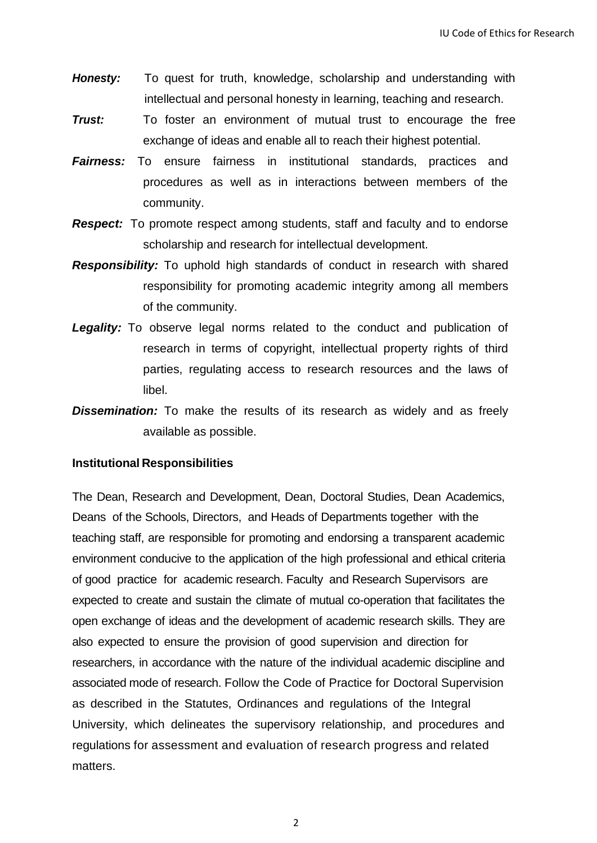- *Honesty:* To quest for truth, knowledge, scholarship and understanding with intellectual and personal honesty in learning, teaching and research.
- **Trust:** To foster an environment of mutual trust to encourage the free exchange of ideas and enable all to reach their highest potential.
- **Fairness:** To ensure fairness in institutional standards, practices and procedures as well as in interactions between members of the community.
- *Respect:* To promote respect among students, staff and faculty and to endorse scholarship and research for intellectual development.
- *Responsibility:* To uphold high standards of conduct in research with shared responsibility for promoting academic integrity among all members of the community.
- **Legality:** To observe legal norms related to the conduct and publication of research in terms of copyright, intellectual property rights of third parties, regulating access to research resources and the laws of libel.
- **Dissemination:** To make the results of its research as widely and as freely available as possible.

#### **Institutional Responsibilities**

The Dean, Research and Development, Dean, Doctoral Studies, Dean Academics, Deans of the Schools, Directors, and Heads of Departments together with the teaching staff, are responsible for promoting and endorsing a transparent academic environment conducive to the application of the high professional and ethical criteria of good practice for academic research. Faculty and Research Supervisors are expected to create and sustain the climate of mutual co-operation that facilitates the open exchange of ideas and the development of academic research skills. They are also expected to ensure the provision of good supervision and direction for researchers, in accordance with the nature of the individual academic discipline and associated mode of research. Follow the Code of Practice for Doctoral Supervision as described in the Statutes, Ordinances and regulations of the Integral University, which delineates the supervisory relationship, and procedures and regulations for assessment and evaluation of research progress and related matters.

2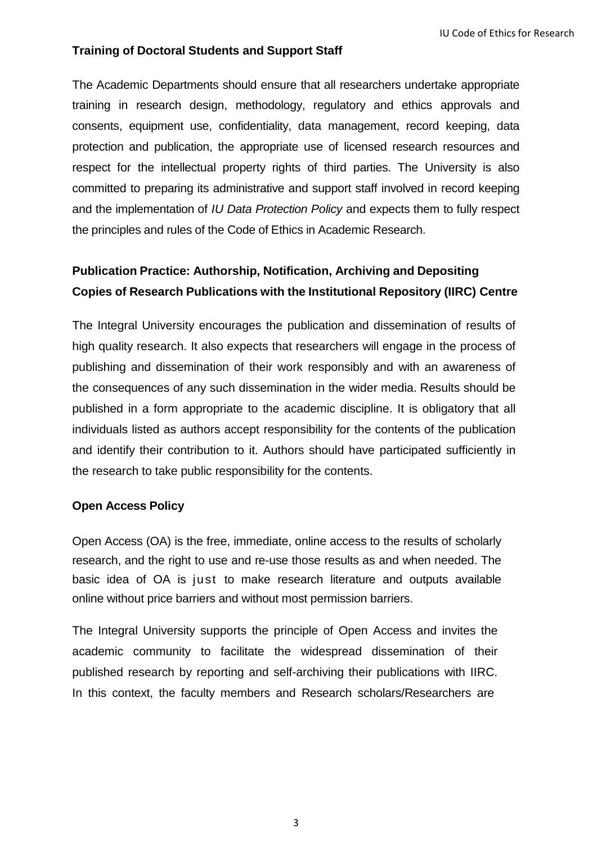### **Training of Doctoral Students and Support Staff**

The Academic Departments should ensure that all researchers undertake appropriate training in research design, methodology, regulatory and ethics approvals and consents, equipment use, confidentiality, data management, record keeping, data protection and publication, the appropriate use of licensed research resources and respect for the intellectual property rights of third parties. The University is also committed to preparing its administrative and support staff involved in record keeping and the implementation of *IU Data Protection Policy* and expects them to fully respect the principles and rules of the Code of Ethics in Academic Research.

## **Publication Practice: Authorship, Notification, Archiving and Depositing Copies of Research Publications with the Institutional Repository (IIRC) Centre**

The Integral University encourages the publication and dissemination of results of high quality research. It also expects that researchers will engage in the process of publishing and dissemination of their work responsibly and with an awareness of the consequences of any such dissemination in the wider media. Results should be published in a form appropriate to the academic discipline. It is obligatory that all individuals listed as authors accept responsibility for the contents of the publication and identify their contribution to it. Authors should have participated sufficiently in the research to take public responsibility for the contents.

#### **Open Access Policy**

Open Access (OA) is the free, immediate, online access to the results of scholarly research, and the right to use and re-use those results as and when needed. The basic idea of OA is just to make research literature and outputs available online without price barriers and without most permission barriers.

The Integral University supports the principle of Open Access and invites the academic community to facilitate the widespread dissemination of their published research by reporting and self-archiving their publications with IIRC. In this context, the faculty members and Research scholars/Researchers are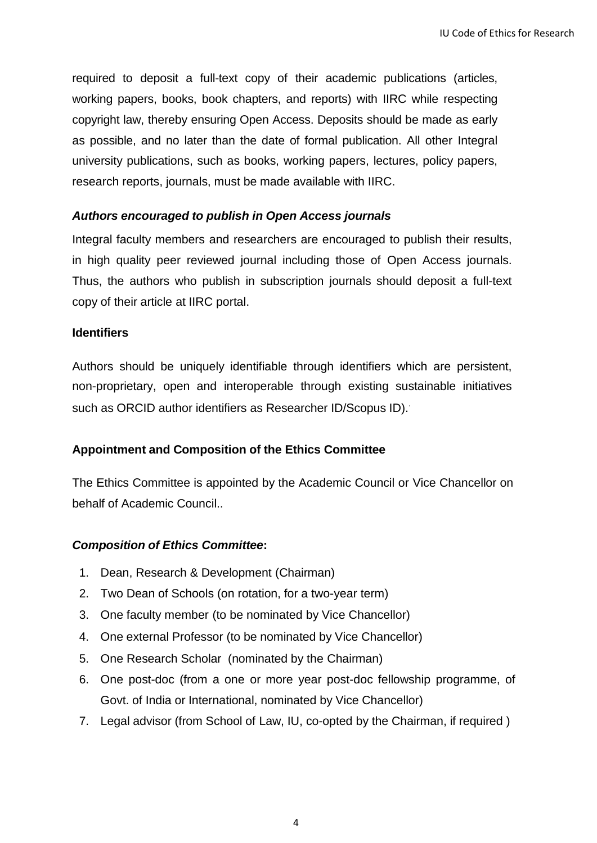required to deposit a full-text copy of their academic publications (articles, working papers, books, book chapters, and reports) with IIRC while respecting copyright law, thereby ensuring Open Access. Deposits should be made as early as possible, and no later than the date of formal publication. All other Integral university publications, such as books, working papers, lectures, policy papers, research reports, journals, must be made available with IIRC.

#### *Authors encouraged to publish in Open Access journals*

Integral faculty members and researchers are encouraged to publish their results, in high quality peer reviewed journal including those of Open Access journals. Thus, the authors who publish in subscription journals should deposit a full-text copy of their article at IIRC portal.

#### **Identifiers**

Authors should be uniquely identifiable through identifiers which are persistent, non-proprietary, open and interoperable through existing sustainable initiatives such as ORCID author identifiers as Researcher ID/Scopus ID).

#### **Appointment and Composition of the Ethics Committee**

The Ethics Committee is appointed by the Academic Council or Vice Chancellor on behalf of Academic Council..

#### *Composition of Ethics Committee***:**

- 1. Dean, Research & Development (Chairman)
- 2. Two Dean of Schools (on rotation, for a two-year term)
- 3. One faculty member (to be nominated by Vice Chancellor)
- 4. One external Professor (to be nominated by Vice Chancellor)
- 5. One Research Scholar (nominated by the Chairman)
- 6. One post-doc (from a one or more year post-doc fellowship programme, of Govt. of India or International, nominated by Vice Chancellor)
- 7. Legal advisor (from School of Law, IU, co-opted by the Chairman, if required )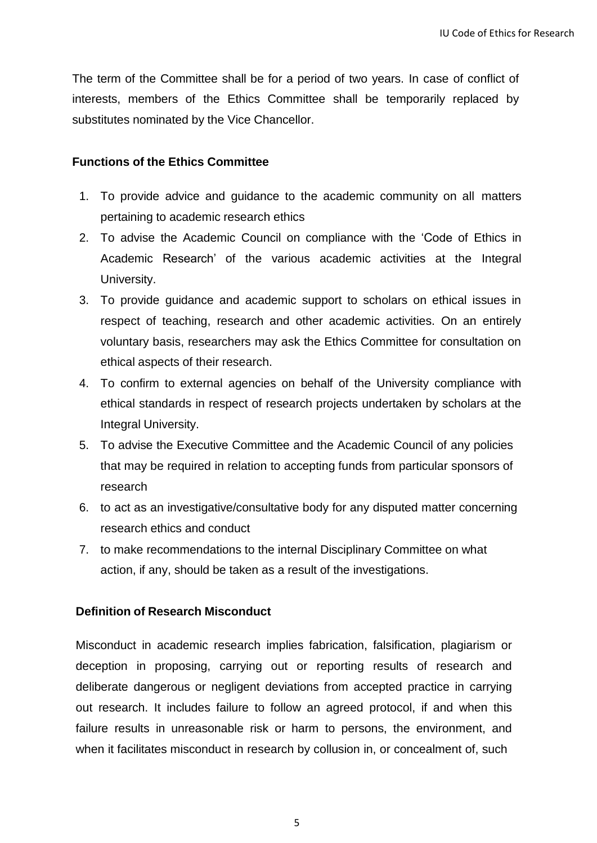The term of the Committee shall be for a period of two years. In case of conflict of interests, members of the Ethics Committee shall be temporarily replaced by substitutes nominated by the Vice Chancellor.

#### **Functions of the Ethics Committee**

- 1. To provide advice and guidance to the academic community on all matters pertaining to academic research ethics
- 2. To advise the Academic Council on compliance with the 'Code of Ethics in Academic Research' of the various academic activities at the Integral University.
- 3. To provide guidance and academic support to scholars on ethical issues in respect of teaching, research and other academic activities. On an entirely voluntary basis, researchers may ask the Ethics Committee for consultation on ethical aspects of their research.
- 4. To confirm to external agencies on behalf of the University compliance with ethical standards in respect of research projects undertaken by scholars at the Integral University.
- 5. To advise the Executive Committee and the Academic Council of any policies that may be required in relation to accepting funds from particular sponsors of research
- 6. to act as an investigative/consultative body for any disputed matter concerning research ethics and conduct
- 7. to make recommendations to the internal Disciplinary Committee on what action, if any, should be taken as a result of the investigations.

#### **Definition of Research Misconduct**

Misconduct in academic research implies fabrication, falsification, plagiarism or deception in proposing, carrying out or reporting results of research and deliberate dangerous or negligent deviations from accepted practice in carrying out research. It includes failure to follow an agreed protocol, if and when this failure results in unreasonable risk or harm to persons, the environment, and when it facilitates misconduct in research by collusion in, or concealment of, such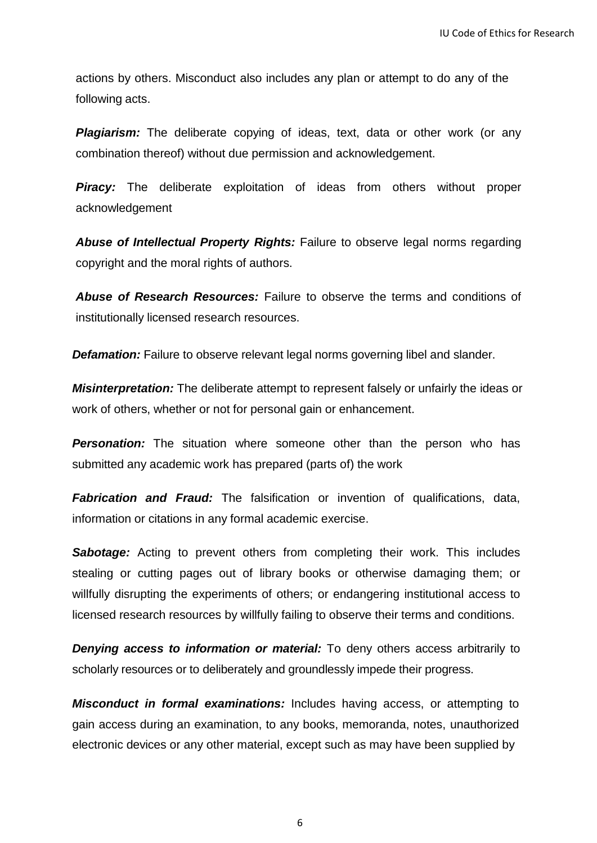actions by others. Misconduct also includes any plan or attempt to do any of the following acts.

**Plagiarism:** The deliberate copying of ideas, text, data or other work (or any combination thereof) without due permission and acknowledgement.

*Piracy:* The deliberate exploitation of ideas from others without proper acknowledgement

*Abuse of Intellectual Property Rights:* Failure to observe legal norms regarding copyright and the moral rights of authors.

*Abuse of Research Resources:* Failure to observe the terms and conditions of institutionally licensed research resources.

**Defamation:** Failure to observe relevant legal norms governing libel and slander.

*Misinterpretation:* The deliberate attempt to represent falsely or unfairly the ideas or work of others, whether or not for personal gain or enhancement.

*Personation:* The situation where someone other than the person who has submitted any academic work has prepared (parts of) the work

*Fabrication and Fraud:* The falsification or invention of qualifications, data, information or citations in any formal academic exercise.

*Sabotage:* Acting to prevent others from completing their work. This includes stealing or cutting pages out of library books or otherwise damaging them; or willfully disrupting the experiments of others; or endangering institutional access to licensed research resources by willfully failing to observe their terms and conditions.

*Denying access to information or material:* To deny others access arbitrarily to scholarly resources or to deliberately and groundlessly impede their progress.

*Misconduct in formal examinations:* Includes having access, or attempting to gain access during an examination, to any books, memoranda, notes, unauthorized electronic devices or any other material, except such as may have been supplied by

6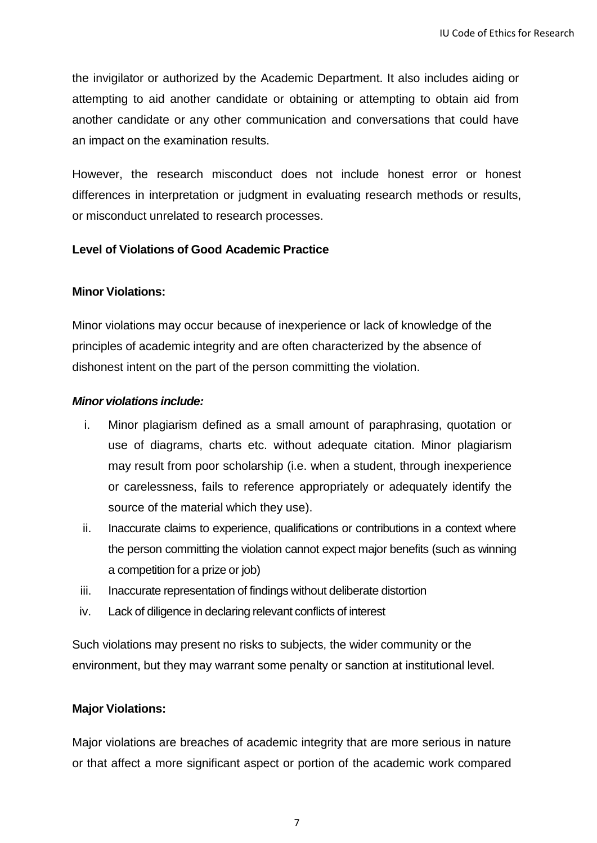the invigilator or authorized by the Academic Department. It also includes aiding or attempting to aid another candidate or obtaining or attempting to obtain aid from another candidate or any other communication and conversations that could have an impact on the examination results.

However, the research misconduct does not include honest error or honest differences in interpretation or judgment in evaluating research methods or results, or misconduct unrelated to research processes.

#### **Level of Violations of Good Academic Practice**

#### **Minor Violations:**

Minor violations may occur because of inexperience or lack of knowledge of the principles of academic integrity and are often characterized by the absence of dishonest intent on the part of the person committing the violation.

#### *Minor violations include:*

- i. Minor plagiarism defined as a small amount of paraphrasing, quotation or use of diagrams, charts etc. without adequate citation. Minor plagiarism may result from poor scholarship (i.e. when a student, through inexperience or carelessness, fails to reference appropriately or adequately identify the source of the material which they use).
- ii. Inaccurate claims to experience, qualifications or contributions in a context where the person committing the violation cannot expect major benefits (such as winning a competition for a prize or job)
- iii. Inaccurate representation of findings without deliberate distortion
- iv. Lack of diligence in declaring relevant conflicts of interest

Such violations may present no risks to subjects, the wider community or the environment, but they may warrant some penalty or sanction at institutional level.

#### **Major Violations:**

Major violations are breaches of academic integrity that are more serious in nature or that affect a more significant aspect or portion of the academic work compared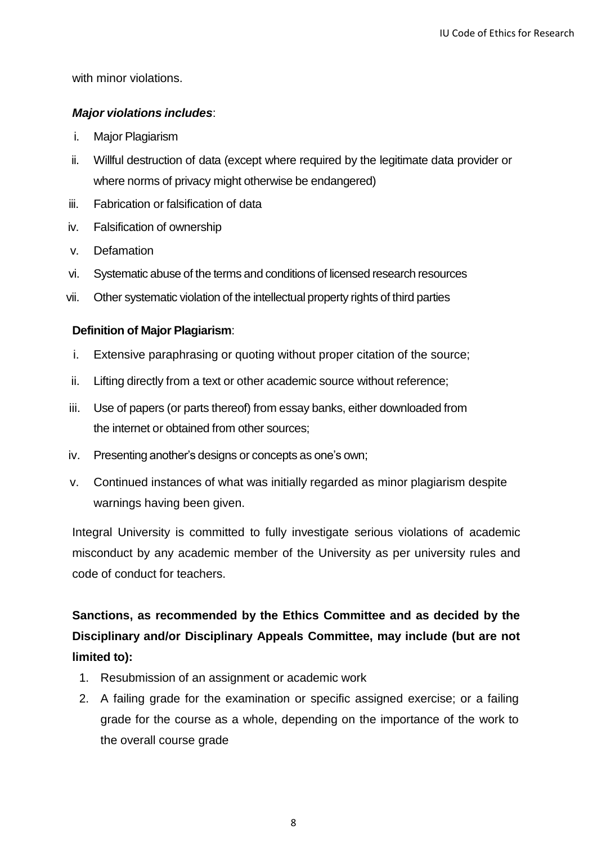with minor violations.

#### *Major violations includes*:

- i. Major Plagiarism
- ii. Willful destruction of data (except where required by the legitimate data provider or where norms of privacy might otherwise be endangered)
- iii. Fabrication or falsification of data
- iv. Falsification of ownership
- v. Defamation
- vi. Systematic abuse of the terms and conditions of licensed research resources
- vii. Other systematic violation of the intellectual property rights of third parties

#### **Definition of Major Plagiarism**:

- i. Extensive paraphrasing or quoting without proper citation of the source;
- ii. Lifting directly from a text or other academic source without reference;
- iii. Use of papers (or parts thereof) from essay banks, either downloaded from the internet or obtained from other sources;
- iv. Presenting another's designs or concepts as one's own;
- v. Continued instances of what was initially regarded as minor plagiarism despite warnings having been given.

Integral University is committed to fully investigate serious violations of academic misconduct by any academic member of the University as per university rules and code of conduct for teachers.

## **Sanctions, as recommended by the Ethics Committee and as decided by the Disciplinary and/or Disciplinary Appeals Committee, may include (but are not limited to):**

- 1. Resubmission of an assignment or academic work
- 2. A failing grade for the examination or specific assigned exercise; or a failing grade for the course as a whole, depending on the importance of the work to the overall course grade